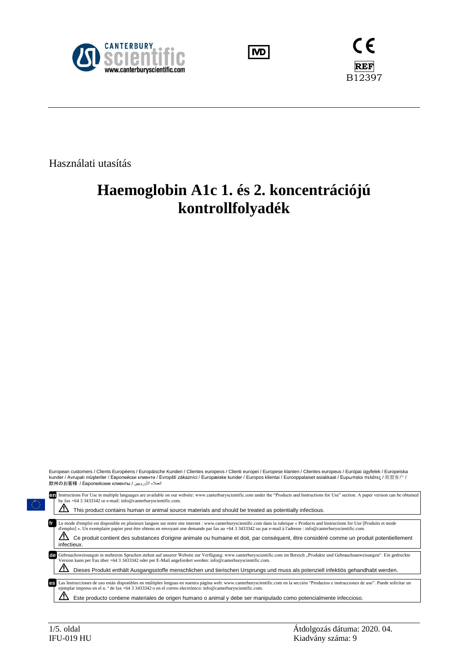





Használati utasítás

# **Haemoglobin A1c 1. és 2. koncentrációjú kontrollfolyadék**

|                           | European customers / Clients Européens / Europäische Kunden / Clientes europeos / Clienti europei / Europese klanten / Clientes europeus / Európai ügyfelek / Europeiska<br>kunder / Avrupalı müsteriler / Европейски клиенти / Evropští zákazníci / Europæiske kunder / Europos klientai / Eurooppalaiset asiakkaat / Ευρωπαίοι πελάτες / 欧盟客户 /<br>العملاء الأوروبيين / 欧州のお客様 / Европейские клиенты                                                                                           |  |  |  |
|---------------------------|--------------------------------------------------------------------------------------------------------------------------------------------------------------------------------------------------------------------------------------------------------------------------------------------------------------------------------------------------------------------------------------------------------------------------------------------------------------------------------------------------|--|--|--|
|                           | Instructions For Use in multiple languages are available on our website: www.canterburyscientific.com under the "Products and Instructions for Use" section. A paper version can be obtained<br>by fax +64 3 3433342 or e-mail: info@canterburyscientific.com.                                                                                                                                                                                                                                   |  |  |  |
|                           | This product contains human or animal source materials and should be treated as potentially infectious.                                                                                                                                                                                                                                                                                                                                                                                          |  |  |  |
| $\sqrt{1}$<br>infectieux. | Le mode d'emploi est disponible en plusieurs langues sur notre site internet : www.canterburyscientific.com dans la rubrique « Products and Instructions for Use [Produits et mode<br>d'emploi] ». Un exemplaire papier peut être obtenu en envoyant une demande par fax au +64 3 3433342 ou par e-mail à l'adresse : info@canterburyscientific.com.<br>Ce produit contient des substances d'origine animale ou humaine et doit, par conséquent, être considéré comme un produit potentiellement |  |  |  |
|                           | Gebrauchsweisungen in mehreren Sprachen stehen auf unserer Website zur Verfügung: www.canterburyscientific.com im Bereich "Produkte und Gebrauchsanweisungen". Ein gedruckte<br>Version kann per Fax über +64 3 3433342 oder per E-Mail angefordert werden: info@canterburyscientific.com.                                                                                                                                                                                                       |  |  |  |
|                           | Dieses Produkt enthält Ausgangsstoffe menschlichen und tierischen Ursprungs und muss als potenziell infektiös gehandhabt werden.                                                                                                                                                                                                                                                                                                                                                                 |  |  |  |
| es                        | Las Instrucciones de uso están disponibles en múltiples lenguas en nuestra página web: www.canterburyscientific.com en la sección "Productos e instrucciones de uso". Puede solicitar un<br>ejemplar impreso en el n. º de fax +64 3 3433342 o en el correo electrónico: info@canterburyscientific.com.                                                                                                                                                                                          |  |  |  |
|                           | Este producto contiene materiales de origen humano o animal y debe ser manipulado como potencialmente infeccioso.                                                                                                                                                                                                                                                                                                                                                                                |  |  |  |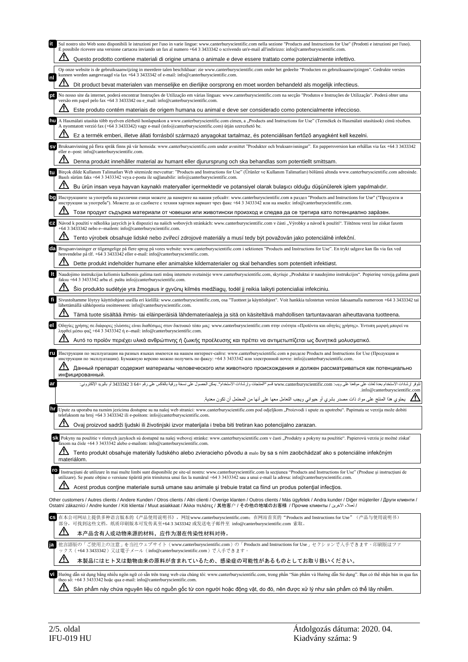|    | Sul nostro sito Web sono disponibili le istruzioni per l'uso in varie lingue: www.canterburyscientific.com nella sezione "Products and Instructions for Use" (Prodotti e istruzioni per l'uso).<br>È possibile ricevere una versione cartacea inviando un fax al numero +64 3 3433342 o scrivendo un'e-mail all'indirizzo: info@canterburyscientific.com.                                                            |
|----|----------------------------------------------------------------------------------------------------------------------------------------------------------------------------------------------------------------------------------------------------------------------------------------------------------------------------------------------------------------------------------------------------------------------|
|    | Questo prodotto contiene materiali di origine umana o animale e deve essere trattato come potenzialmente infettivo.                                                                                                                                                                                                                                                                                                  |
|    | Op onze website is de gebruiksaanwijzing in meerdere talen beschikbaar: zie www.canterburyscientific.com onder het gedeelte "Producten en gebruiksaanwijzingen". Gedrukte versies<br>kunnen worden aangevraagd via fax +64 3 3433342 of e-mail: info@canterburyscientific.com.                                                                                                                                       |
| nl | Dit product bevat materialen van menselijke en dierlijke oorsprong en moet worden behandeld als mogelijk infectieus.                                                                                                                                                                                                                                                                                                 |
| pt | No nosso site da internet, poderá encontrar Instruções de Utilização em várias línguas: www.canterburyscientific.com na secção "Produtos e Instruções de Utilização". Poderá obter uma<br>versão em papel pelo fax +64 3 3433342 ou e_mail: info@canterburyscientific.com.                                                                                                                                           |
|    | Este produto contém materiais de origem humana ou animal e deve ser considerado como potencialmente infeccioso.                                                                                                                                                                                                                                                                                                      |
| hu | A Használati utasítás több nyelven elérhető honlapunkon a www.canterburyscientific.com címen, a "Products and Instructions for Use" (Termékek és Használati utasítások) című részben.<br>A nyomtatott verzió fax (+64 3 3433342) vagy e-mail (info@canterburyscientific.com) útján szerezhető be.                                                                                                                    |
|    | Ez a termék emberi, illetve állati forrásból származó anyagokat tartalmaz, és potenciálisan fertőző anyagként kell kezelni.                                                                                                                                                                                                                                                                                          |
|    | Bruksanvisning på flera språk finns på vår hemsida: www.canterburyscientific.com under avsnittet "Produkter och bruksanvisningar". En pappersversion kan erhållas via fax +64 3 3433342<br>eller e--post: info@canterburyscientific.com.                                                                                                                                                                             |
|    | Denna produkt innehåller material av humant eller djurursprung och ska behandlas som potentiellt smittsam.                                                                                                                                                                                                                                                                                                           |
|    | Birçok dilde Kullanım Talimatları Web sitemizde mevcuttur: "Products and Instructions for Use" (Ürünler ve Kullanım Talimatları) bölümü altında www.canterburyscientific.com adresinde.<br>Basılı sürüm faks +64 3 3433342 veya e-posta ile sağlanabilir: info@canterburyscientific.com.                                                                                                                             |
|    | Bu ürün insan veya hayvan kaynaklı materyaller içermektedir ve potansiyel olarak bulaşıcı olduğu düşünülerek işlem yapılmalıdır.                                                                                                                                                                                                                                                                                     |
| bg | Инструкциите за употреба на различни езици можете да намерите на нашия уебсайт: www.canterburyscientific.com в раздел "Products and Instructions for Use" ("Продукти и<br>инструкции за употреба"). Можете да се сдобиете с техния хартиен вариант чрез факс +64 3 3433342 или на имейл: info@canterburyscientific.com.                                                                                              |
|    | Този продукт съдържа материали от човешки или животински произход и следва да се третира като потенциално зара̀зен.                                                                                                                                                                                                                                                                                                  |
|    | Návod k použití v několika jazycích je k dispozici na našich webových stránkách: www.canterburyscientific.com v části "Výrobky a návod k použití". Tištěnou verzi lze získat faxem<br>+64 3 3433342 nebo e--mailem: info@canterburyscientific.com.                                                                                                                                                                   |
|    | Tento výrobek obsahuje lidské nebo zvířecí zdrojové materiály a musí tedy být považován jako potenciálně infekční.                                                                                                                                                                                                                                                                                                   |
|    | Brugsanvisninger er tilgængelige på flere sprog på vores website: www.canterburyscientific.com i sektionen "Products and Instructions for Use". En trykt udgave kan fås via fax ved<br>henvendelse på tlf. +64 3 3433342 eller e-mail: info@canterburyscientific.com.                                                                                                                                                |
|    | Dette produkt indeholder humane eller animalske kildematerialer og skal behandles som potentielt infektiøst.                                                                                                                                                                                                                                                                                                         |
| It | Naudojimo instrukcijas keliomis kalbomis galima rasti mūsų interneto svetainėje www.canterburyscientific.com, skyriuje "Produktai ir naudojimo instrukcijos". Popierinę versiją galima gauti<br>faksu +64 3 3433342 arba el. paštu info@canterburyscientific.com.                                                                                                                                                    |
|    | Šio produkto sudėtyje yra žmogaus ir gyvūnų kilmės medžiagų, todėl jį reikia laikyti potencialiai infekciniu.                                                                                                                                                                                                                                                                                                        |
| fi | Sivustoltamme löytyy käyttöohjeet useilla eri kielillä: www.canterburyscientific.com, osa "Tuotteet ja käyttöohjeet". Voit hankkia tulostetun version faksaamalla numeroon +64 3 3433342 tai<br>lähettämällä sähköpostia osoitteeseen: info@canterburyscientific.com.                                                                                                                                                |
|    | Tämä tuote sisältää ihmis- tai eläinperäisiä lähdemateriaaleja ja sitä on käsiteltävä mahdollisen tartuntavaaran aiheuttavana tuotteena.                                                                                                                                                                                                                                                                             |
| el | Οδηγίες χρήσης σε διάφορες γλώσσες είναι διαθέσιμες στον δικτυακό τόπο μας: www.canterburyscientific.com στην ενότητα «Προϊόντα και οδηγίες χρήσης». Έντυπη μορφή μπορεί να<br>ληφθεί μέσω φαξ +64 3 3433342 ή e--mail: info@canterburyscientific.com.                                                                                                                                                               |
|    | Αυτό το προϊόν περιέχει υλικά ανθρώπινης ή ζωικής προέλευσης και πρέπει να αντιμετωπίζεται ως δυνητικά μολυσματικό.                                                                                                                                                                                                                                                                                                  |
| ru | Инструкции по эксплуатации на разных языках имеются на нашем интернет-сайте: www.canterburyscientific.com в разделе Products and Instructions for Use (Продукция и<br>инструкции по эксплуатации). Бумажную версию можно получить по факсу: +64 3 3433342 или электронной почте: info@canterburyscientific.com.                                                                                                      |
|    | Данный препарат содержит материалы человеческого или животного происхождения и должен рассматриваться как потенциально<br>инфицированный.                                                                                                                                                                                                                                                                            |
| ar | تتوفر إرشادات الاستخدام بعدة لغلت على موقعنا على ويب: www.canterburyscientific.com قسم "المنتجات وإرشادات الاستخدام". يمكن الحصول على نسخة ورقية بالفاكس على رقم +64 3433342 أو بالبريد الإلكتروني:                                                                                                                                                                                                                  |
|    | .info@canterburyscientific.com<br>يحتو ي هذا المنتج على مواد ذات مصدر بشر ي أو حيواني ويجب التعامل معها على أنها من المحتمل أن تكون معدية.                                                                                                                                                                                                                                                                           |
|    | Upute za uporabu na raznim jezicima dostupne su na našoj web stranici: www.canterburyscientific.com pod odjeljkom "Proizvodi i upute za upotrebu". Papirnata se verzija može dobiti                                                                                                                                                                                                                                  |
|    | telefaksom na broj +64 3 3433342 ili e-poštom: info@canterburyscientific.com.<br><u>u</u><br>Ovaj proizvod sadrži ljudski ili životinjski izvor materijala i treba biti tretiran kao potencijalno zarazan.                                                                                                                                                                                                           |
|    | SK Pokyny na použitie v rôznych jazykoch sú dostupné na našej webovej stránke: www.canterburyscientific.com v časti "Produkty a pokyny na použitie". Papierovú verziu je možné získať                                                                                                                                                                                                                                |
|    | faxom na čísle +64 3 3433342 alebo e-mailom: info@canterburyscientific.com.<br><u>/!\</u>                                                                                                                                                                                                                                                                                                                            |
|    | Tento produkt obsahuje materiály ľudského alebo zvieracieho pôvodu a malo by sa s ním zaobchádzať ako s potenciálne infekčným<br>materiálom.                                                                                                                                                                                                                                                                         |
| ro | Instructium de utilizare în mai multe limbi sunt disponibile pe site-ul nostru: www.canterburyscientific.com la sectiunea "Products and Instructions for Use" (Produse și instructium de<br>utilizare). Se poate obține o versiune tipărită prin trimiterea unui fax la numărul +64 3 3433342 sau a unui e-mail la adresa: info@canterburyscientific.com.                                                            |
|    | Acest produs contine materiale sursă umane sau animale și trebuie tratat ca fiind un produs potențial infecțios.                                                                                                                                                                                                                                                                                                     |
|    | Other customers / Autres clients / Andere Kunden / Otros clients / Altri clienti / Overige klanten / Outros clients / Más ügyfelek / Andra kunder / Diğer müşteriler / Други клиенти /<br>Ostatní zákazníci / Аndre kunder / Kiti klientai / Muut asiakkaat / Άλλοι πελάτες / 其他客户 / その他の地域のお客様 / Прочие клиенты / كاملاء الأخرين / Ostatní zákazníci / Andre kunder / Kiti klientai / Миut asiakkaat / Άλλοι πελάτε |
| СS | 在本公司网站上提供多种语言版本的《产品使用说明书》, 网址www.canterburyscientific.com; 在网站首页的"Products and Instructions for Use"(产品与使用说明书)<br>部分, 可找到这些文档。纸质印刷版本可发传真至+64 3 3433342 或发送电子邮件至 info@canterburyscientific.com 索取。                                                                                                                                                                                                                    |
|    | <u>/!\</u><br>本产品含有人或动物来源的材料,应作为潜在传染性材料对待。                                                                                                                                                                                                                                                                                                                                                                           |
|    | 他言語版の「ご使用上の注意」を当社ウェブサイト(www.canterburyscientific.com)の「Products and Instructions for Use」セクションで入手できます。印刷版はファ<br>ックス (+643343342) 又は電子メール (info@canterburyscientific.com) で入手できます。                                                                                                                                                                                                                                    |
|    | 本製品にはヒト又は動物由来の原料が含まれているため、感染症の可能性があるものとしてお取り扱いください。                                                                                                                                                                                                                                                                                                                                                                  |
| vi | Hướng dẫn sử dụng bằng nhiều ngôn ngữ có sẵn trên trang web của chúng tôi: www.canterburyscientific.com, trong phần "Sản phẩm và Hướng dẫn Sử dụng". Bạn có thể nhận bản in qua fax<br>theo số: +64 3 3433342 hoặc qua e-mail: info@canterburyscientific.com.                                                                                                                                                        |
|    | Sản phẩm này chứa nguyên liêu có nguồn gốc từ con người hoặc đông vật, do đó, nên được xử lý như sản phẩm có thể lây nhiễm.                                                                                                                                                                                                                                                                                          |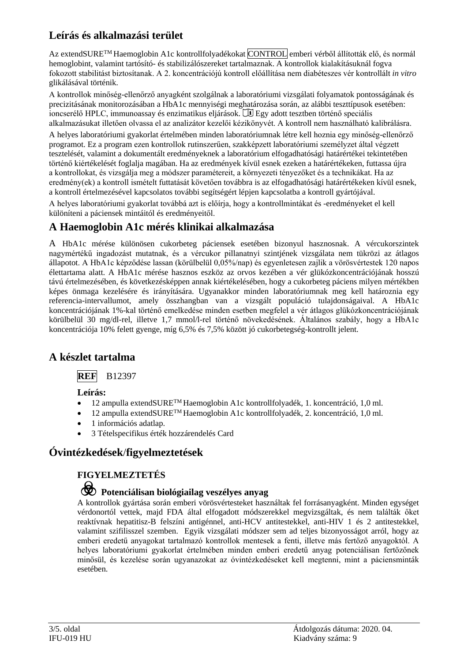## **Leírás és alkalmazási terület**

Az extendSURE™ Haemoglobin A1c kontrollfolyadékokat CONTROL emberi vérből állították elő, és normál hemoglobint, valamint tartósító- és stabilizálószereket tartalmaznak. A kontrollok kialakításuknál fogva fokozott stabilitást biztosítanak. A 2. koncentrációjú kontroll előállítása nem diabéteszes vér kontrollált *in vitro* glikálásával történik.

A kontrollok minőség-ellenőrző anyagként szolgálnak a laboratóriumi vizsgálati folyamatok pontosságának és precizitásának monitorozásában a HbA1c mennyiségi meghatározása során, az alábbi teszttípusok esetében: ioncserélő HPLC, immunoassay és enzimatikus eljárások.  $\mathbb{U}$  Egy adott tesztben történő speciális alkalmazásukat illetően olvassa el az analizátor kezelői kézikönyvét. A kontroll nem használható kalibrálásra.

A helyes laboratóriumi gyakorlat értelmében minden laboratóriumnak létre kell hoznia egy minőség-ellenőrző programot. Ez a program ezen kontrollok rutinszerűen, szakképzett laboratóriumi személyzet által végzett tesztelését, valamint a dokumentált eredményeknek a laboratórium elfogadhatósági határértékei tekintetében történő kiértékelését foglalja magában. Ha az eredmények kívül esnek ezeken a határértékeken, futtassa újra a kontrollokat, és vizsgálja meg a módszer paramétereit, a környezeti tényezőket és a technikákat. Ha az eredmény(ek) a kontroll ismételt futtatását követően továbbra is az elfogadhatósági határértékeken kívül esnek, a kontroll értelmezésével kapcsolatos további segítségért lépjen kapcsolatba a kontroll gyártójával.

A helyes laboratóriumi gyakorlat továbbá azt is előírja, hogy a kontrollmintákat és -eredményeket el kell különíteni a páciensek mintáitól és eredményeitől.

### **A Haemoglobin A1c mérés klinikai alkalmazása**

A HbA1c mérése különösen cukorbeteg páciensek esetében bizonyul hasznosnak. A vércukorszintek nagymértékű ingadozást mutatnak, és a vércukor pillanatnyi szintjének vizsgálata nem tükrözi az átlagos állapotot. A HbA1c képződése lassan (körülbelül 0,05%/nap) és egyenletesen zajlik a vörösvértestek 120 napos élettartama alatt. A HbA1c mérése hasznos eszköz az orvos kezében a vér glükózkoncentrációjának hosszú távú értelmezésében, és következésképpen annak kiértékelésében, hogy a cukorbeteg páciens milyen mértékben képes önmaga kezelésére és irányítására. Ugyanakkor minden laboratóriumnak meg kell határoznia egy referencia-intervallumot, amely összhangban van a vizsgált populáció tulajdonságaival. A HbA1c koncentrációjának 1%-kal történő emelkedése minden esetben megfelel a vér átlagos glükózkoncentrációjának körülbelül 30 mg/dl-rel, illetve 1,7 mmol/l-rel történő növekedésének. Általános szabály, hogy a HbA1c koncentrációja 10% felett gyenge, míg 6,5% és 7,5% között jó cukorbetegség-kontrollt jelent.

### **A készlet tartalma**

#### **REF** B12397

#### **Leírás:**

- 12 ampulla extendSURE<sup>TM</sup> Haemoglobin A1c kontrollfolyadék, 1. koncentráció, 1,0 ml.
- 12 ampulla extendSURETM Haemoglobin A1c kontrollfolyadék, 2. koncentráció, 1,0 ml.
- 1 információs adatlap.
- 3 Tételspecifikus érték hozzárendelés Card

### **Óvintézkedések**/**figyelmeztetések**

### **FIGYELMEZTETÉS**

## F **Potenciálisan biológiailag veszélyes anyag**

A kontrollok gyártása során emberi vörösvértesteket használtak fel forrásanyagként. Minden egységet vérdonortól vettek, majd FDA által elfogadott módszerekkel megvizsgáltak, és nem találták őket reaktívnak hepatitisz-B felszíni antigénnel, anti-HCV antitestekkel, anti-HIV 1 és 2 antitestekkel, valamint szifilisszel szemben. Egyik vizsgálati módszer sem ad teljes bizonyosságot arról, hogy az emberi eredetű anyagokat tartalmazó kontrollok mentesek a fenti, illetve más fertőző anyagoktól. A helyes laboratóriumi gyakorlat értelmében minden emberi eredetű anyag potenciálisan fertőzőnek minősül, és kezelése során ugyanazokat az óvintézkedéseket kell megtenni, mint a páciensminták esetében.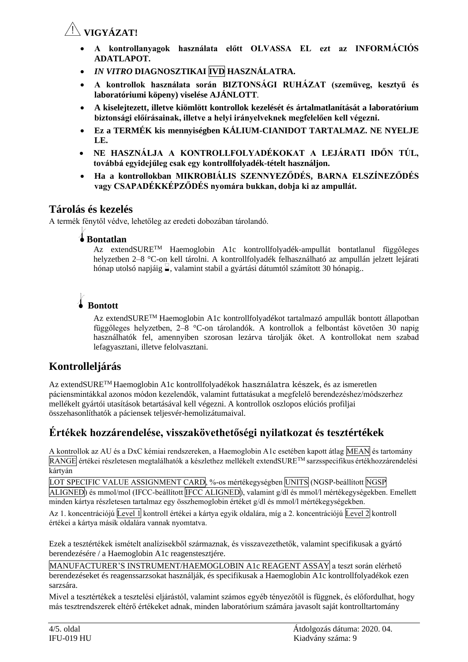## Y**VIGYÁZAT!**

- **A kontrollanyagok használata előtt OLVASSA EL ezt az INFORMÁCIÓS ADATLAPOT.**
- *IN VITRO* **DIAGNOSZTIKAI IVD HASZNÁLATRA.**
- **A kontrollok használata során BIZTONSÁGI RUHÁZAT (szemüveg, kesztyű és laboratóriumi köpeny) viselése AJÁNLOTT***.*
- **A kiselejtezett, illetve kiömlött kontrollok kezelését és ártalmatlanítását a laboratórium biztonsági előírásainak, illetve a helyi irányelveknek megfelelően kell végezni.**
- **Ez a TERMÉK kis mennyiségben KÁLIUM-CIANIDOT TARTALMAZ. NE NYELJE LE.**
- **NE HASZNÁLJA A KONTROLLFOLYADÉKOKAT A LEJÁRATI IDŐN TÚL, továbbá egyidejűleg csak egy kontrollfolyadék-tételt használjon.**
- **Ha a kontrollokban MIKROBIÁLIS SZENNYEZŐDÉS, BARNA ELSZÍNEZŐDÉS vagy CSAPADÉKKÉPZŐDÉS nyomára bukkan, dobja ki az ampullát.**

### **Tárolás és kezelés**

A termék fénytől védve, lehetőleg az eredeti dobozában tárolandó.

### l**Bontatlan**

Az extendSURETM Haemoglobin A1c kontrollfolyadék-ampullát bontatlanul függőleges helyzetben 2–8 °C-on kell tárolni. A kontrollfolyadék felhasználható az ampullán jelzett lejárati hónap utolsó napjáig  $\leq$ , valamint stabil a gyártási dátumtól számított 30 hónapig..

## l **Bontott**

Az extendSURETM Haemoglobin A1c kontrollfolyadékot tartalmazó ampullák bontott állapotban függőleges helyzetben, 2–8 °C-on tárolandók. A kontrollok a felbontást követően 30 napig használhatók fel, amennyiben szorosan lezárva tárolják őket. A kontrollokat nem szabad lefagyasztani, illetve felolvasztani.

## **Kontrolleljárás**

Az extendSURETM Haemoglobin A1c kontrollfolyadékok használatra készek, és az ismeretlen páciensmintákkal azonos módon kezelendők, valamint futtatásukat a megfelelő berendezéshez/módszerhez mellékelt gyártói utasítások betartásával kell végezni. A kontrollok oszlopos elúciós profiljai összehasonlíthatók a páciensek teljesvér-hemolizátumaival.

## **Értékek hozzárendelése, visszakövethetőségi nyilatkozat és tesztértékek**

A kontrollok az AU és a DxC kémiai rendszereken, a Haemoglobin A1c esetében kapott átlag MEAN és tartomány RANGE értékei részletesen megtalálhatók a készlethez mellékelt extendSURETM sarzsspecifikus értékhozzárendelési kártyán

LOT SPECIFIC VALUE ASSIGNMENT CARD, %-os mértékegységben UNITS (NGSP-beállított NGSP ALIGNED) és mmol/mol (IFCC-beállított IFCC ALIGNED), valamint g/dl és mmol/l mértékegységekben. Emellett minden kártya részletesen tartalmaz egy összhemoglobin értéket g/dl és mmol/l mértékegységekben.

Az 1. koncentrációjú Level 1 kontroll értékei a kártya egyik oldalára, míg a 2. koncentrációjú Level 2 kontroll értékei a kártya másik oldalára vannak nyomtatva.

Ezek a tesztértékek ismételt analízisekből származnak, és visszavezethetők, valamint specifikusak a gyártó berendezésére / a Haemoglobin A1c reagenstesztjére.

MANUFACTURER'S INSTRUMENT/HAEMOGLOBIN A1c REAGENT ASSAY a teszt során elérhető berendezéseket és reagenssarzsokat használják, és specifikusak a Haemoglobin A1c kontrollfolyadékok ezen sarzsára.

Mivel a tesztértékek a tesztelési eljárástól, valamint számos egyéb tényezőtől is függnek, és előfordulhat, hogy más tesztrendszerek eltérő értékeket adnak, minden laboratórium számára javasolt saját kontrolltartomány